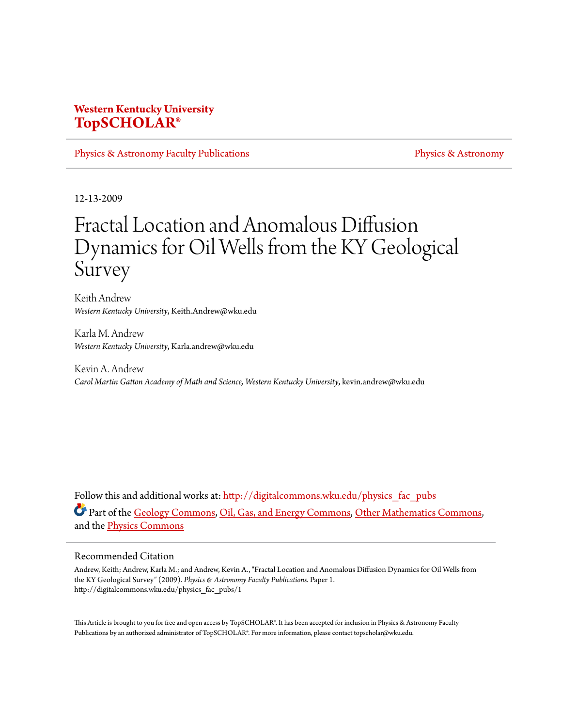# **Western Kentucky University [TopSCHOLAR®](http://digitalcommons.wku.edu?utm_source=digitalcommons.wku.edu%2Fphysics_fac_pubs%2F1&utm_medium=PDF&utm_campaign=PDFCoverPages)**

[Physics & Astronomy Faculty Publications](http://digitalcommons.wku.edu/physics_fac_pubs?utm_source=digitalcommons.wku.edu%2Fphysics_fac_pubs%2F1&utm_medium=PDF&utm_campaign=PDFCoverPages) **[Physics & Astronomy](http://digitalcommons.wku.edu/physics?utm_source=digitalcommons.wku.edu%2Fphysics_fac_pubs%2F1&utm_medium=PDF&utm_campaign=PDFCoverPages)** Physics & Astronomy

12-13-2009

# Fractal Location and Anomalous Diffusion Dynamics for Oil Wells from the KY Geological Survey

Keith Andrew *Western Kentucky University*, Keith.Andrew@wku.edu

Karla M. Andrew *Western Kentucky University*, Karla.andrew@wku.edu

Kevin A. Andrew *Carol Martin Gatton Academy of Math and Science, Western Kentucky University*, kevin.andrew@wku.edu

Follow this and additional works at: [http://digitalcommons.wku.edu/physics\\_fac\\_pubs](http://digitalcommons.wku.edu/physics_fac_pubs?utm_source=digitalcommons.wku.edu%2Fphysics_fac_pubs%2F1&utm_medium=PDF&utm_campaign=PDFCoverPages) Part of the [Geology Commons,](http://network.bepress.com/hgg/discipline/156?utm_source=digitalcommons.wku.edu%2Fphysics_fac_pubs%2F1&utm_medium=PDF&utm_campaign=PDFCoverPages) [Oil, Gas, and Energy Commons](http://network.bepress.com/hgg/discipline/171?utm_source=digitalcommons.wku.edu%2Fphysics_fac_pubs%2F1&utm_medium=PDF&utm_campaign=PDFCoverPages), [Other Mathematics Commons,](http://network.bepress.com/hgg/discipline/185?utm_source=digitalcommons.wku.edu%2Fphysics_fac_pubs%2F1&utm_medium=PDF&utm_campaign=PDFCoverPages) and the [Physics Commons](http://network.bepress.com/hgg/discipline/193?utm_source=digitalcommons.wku.edu%2Fphysics_fac_pubs%2F1&utm_medium=PDF&utm_campaign=PDFCoverPages)

#### Recommended Citation

Andrew, Keith; Andrew, Karla M.; and Andrew, Kevin A., "Fractal Location and Anomalous Diffusion Dynamics for Oil Wells from the KY Geological Survey" (2009). *Physics & Astronomy Faculty Publications.* Paper 1. http://digitalcommons.wku.edu/physics\_fac\_pubs/1

This Article is brought to you for free and open access by TopSCHOLAR®. It has been accepted for inclusion in Physics & Astronomy Faculty Publications by an authorized administrator of TopSCHOLAR®. For more information, please contact topscholar@wku.edu.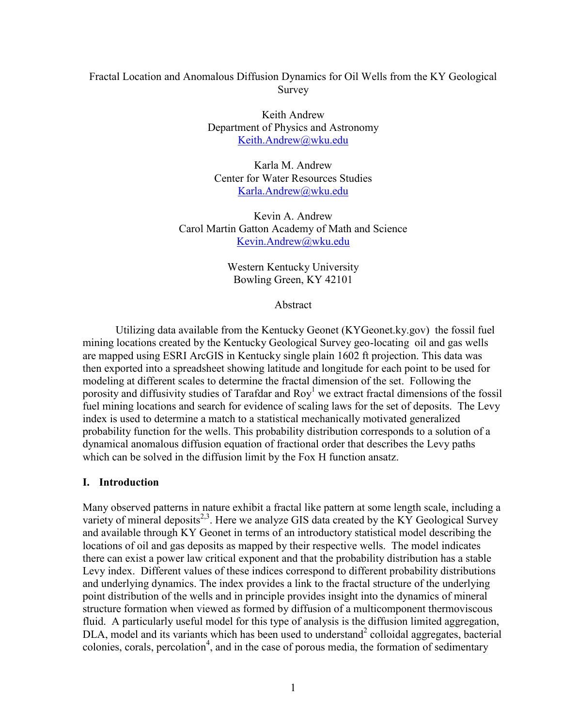## Fractal Location and Anomalous Diffusion Dynamics for Oil Wells from the KY Geological Survey

Keith Andrew Department of Physics and Astronomy [Keith.Andrew@wku.edu](mailto:Keith.Andrew@wku.edu)

Karla M. Andrew Center for Water Resources Studies [Karla.Andrew@wku.edu](mailto:Karla.Andrew@wku.edu)

Kevin A. Andrew Carol Martin Gatton Academy of Math and Science [Kevin.Andrew@wku.edu](mailto:Kevin.Andrew@wku.edu)

> Western Kentucky University Bowling Green, KY 42101

> > Abstract

Utilizing data available from the Kentucky Geonet (KYGeonet.ky.gov) the fossil fuel mining locations created by the Kentucky Geological Survey geo-locating oil and gas wells are mapped using ESRI ArcGIS in Kentucky single plain 1602 ft projection. This data was then exported into a spreadsheet showing latitude and longitude for each point to be used for modeling at different scales to determine the fractal dimension of the set. Following the porosity and diffusivity studies of Tarafdar and  $Roy<sup>1</sup>$  we extract fractal dimensions of the fossil fuel mining locations and search for evidence of scaling laws for the set of deposits. The Levy index is used to determine a match to a statistical mechanically motivated generalized probability function for the wells. This probability distribution corresponds to a solution of a dynamical anomalous diffusion equation of fractional order that describes the Levy paths which can be solved in the diffusion limit by the Fox H function ansatz.

## **I. Introduction**

Many observed patterns in nature exhibit a fractal like pattern at some length scale, including a variety of mineral deposits<sup>2,3</sup>. Here we analyze GIS data created by the KY Geological Survey and available through KY Geonet in terms of an introductory statistical model describing the locations of oil and gas deposits as mapped by their respective wells. The model indicates there can exist a power law critical exponent and that the probability distribution has a stable Levy index. Different values of these indices correspond to different probability distributions and underlying dynamics. The index provides a link to the fractal structure of the underlying point distribution of the wells and in principle provides insight into the dynamics of mineral structure formation when viewed as formed by diffusion of a multicomponent thermoviscous fluid. A particularly useful model for this type of analysis is the diffusion limited aggregation,  $DLA$ , model and its variants which has been used to understand<sup>2</sup> colloidal aggregates, bacterial  $\alpha$ colonies, corals, percolation<sup>4</sup>, and in the case of porous media, the formation of sedimentary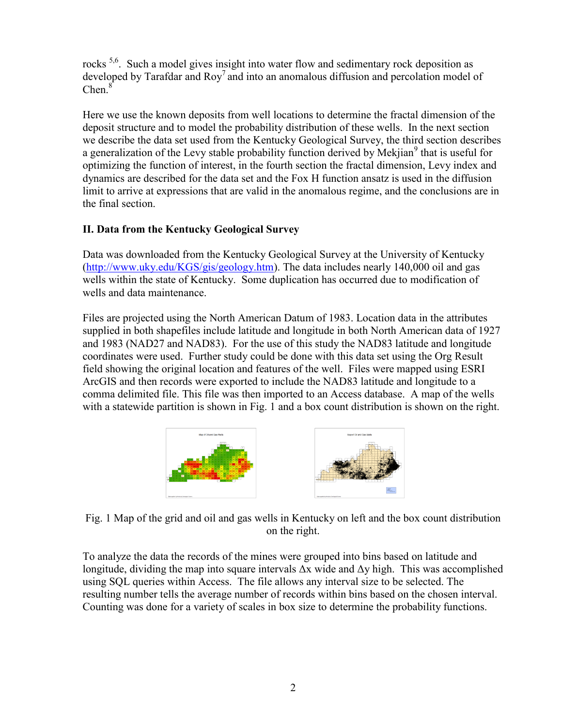rocks<sup>5,6</sup>. Such a model gives insight into water flow and sedimentary rock deposition as developed by Tarafdar and  $\text{Roy}^7$  and into an anomalous diffusion and percolation model of Chen.<sup>8</sup>

Here we use the known deposits from well locations to determine the fractal dimension of the deposit structure and to model the probability distribution of these wells. In the next section we describe the data set used from the Kentucky Geological Survey, the third section describes a generalization of the Levy stable probability function derived by Mekjian<sup>9</sup> that is useful for optimizing the function of interest, in the fourth section the fractal dimension, Levy index and dynamics are described for the data set and the Fox H function ansatz is used in the diffusion limit to arrive at expressions that are valid in the anomalous regime, and the conclusions are in the final section.

# **II. Data from the Kentucky Geological Survey**

Data was downloaded from the Kentucky Geological Survey at the University of Kentucky [\(http://www.uky.edu/KGS/gis/geology.htm\)](http://www.uky.edu/KGS/gis/geology.htm). The data includes nearly 140,000 oil and gas wells within the state of Kentucky. Some duplication has occurred due to modification of wells and data maintenance.

Files are projected using the North American Datum of 1983. Location data in the attributes supplied in both shapefiles include latitude and longitude in both North American data of 1927 and 1983 (NAD27 and NAD83). For the use of this study the NAD83 latitude and longitude coordinates were used. Further study could be done with this data set using the Org Result field showing the original location and features of the well. Files were mapped using ESRI ArcGIS and then records were exported to include the NAD83 latitude and longitude to a comma delimited file. This file was then imported to an Access database. A map of the wells with a statewide partition is shown in Fig. 1 and a box count distribution is shown on the right.



Fig. 1 Map of the grid and oil and gas wells in Kentucky on left and the box count distribution on the right.

To analyze the data the records of the mines were grouped into bins based on latitude and longitude, dividing the map into square intervals  $\Delta x$  wide and  $\Delta y$  high. This was accomplished using SQL queries within Access. The file allows any interval size to be selected. The resulting number tells the average number of records within bins based on the chosen interval. Counting was done for a variety of scales in box size to determine the probability functions.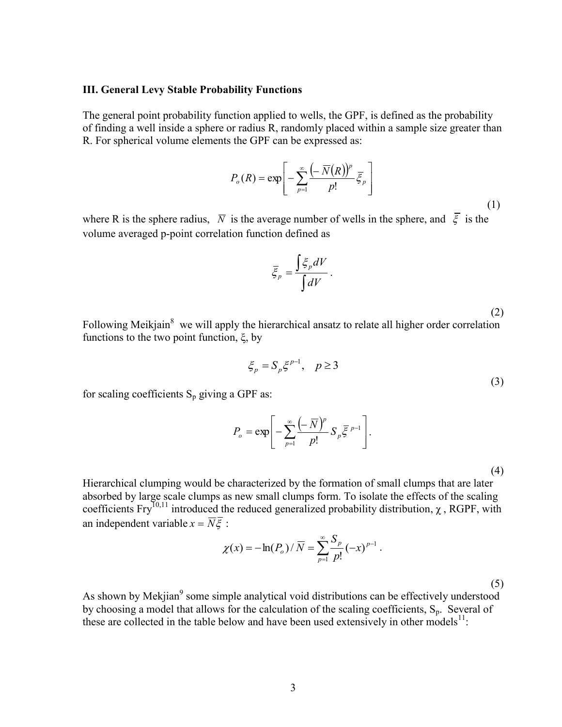#### **III. General Levy Stable Probability Functions**

The general point probability function applied to wells, the GPF, is defined as the probability of finding a well inside a sphere or radius R, randomly placed within a sample size greater than R. For spherical volume elements the GPF can be expressed as:

$$
P_o(R) = \exp\left[-\sum_{p=1}^{\infty} \frac{\left(-\overline{N}(R)\right)^p}{p!} \overline{\xi}_p\right]
$$
\n(1)

where R is the sphere radius,  $\overline{N}$  is the average number of wells in the sphere, and  $\xi$  is the volume averaged p-point correlation function defined as

$$
\overline{\xi}_p = \frac{\int \xi_p dV}{\int dV}.
$$

(2)

Following Meikjain<sup>8</sup> we will apply the hierarchical ansatz to relate all higher order correlation functions to the two point function,  $\xi$ , by

$$
\xi_p = S_p \xi^{p-1}, \quad p \ge 3 \tag{3}
$$

for scaling coefficients  $S_p$  giving a GPF as:

$$
P_o = \exp\left[-\sum_{p=1}^{\infty} \frac{(-\overline{N})^p}{p!} S_p \overline{\xi}^{p-1}\right].
$$

(4)

Hierarchical clumping would be characterized by the formation of small clumps that are later absorbed by large scale clumps as new small clumps form. To isolate the effects of the scaling coefficients  $Fry^{10,11}$  introduced the reduced generalized probability distribution,  $\gamma$ , RGPF, with an independent variable  $x = \overline{N}\overline{\xi}$ :

$$
\chi(x) = -\ln(P_o) / \overline{N} = \sum_{p=1}^{\infty} \frac{S_p}{p!} (-x)^{p-1}.
$$

(5)

As shown by Mekjian<sup>9</sup> some simple analytical void distributions can be effectively understood by choosing a model that allows for the calculation of the scaling coefficients,  $S_p$ . Several of these are collected in the table below and have been used extensively in other models $^{11}$ :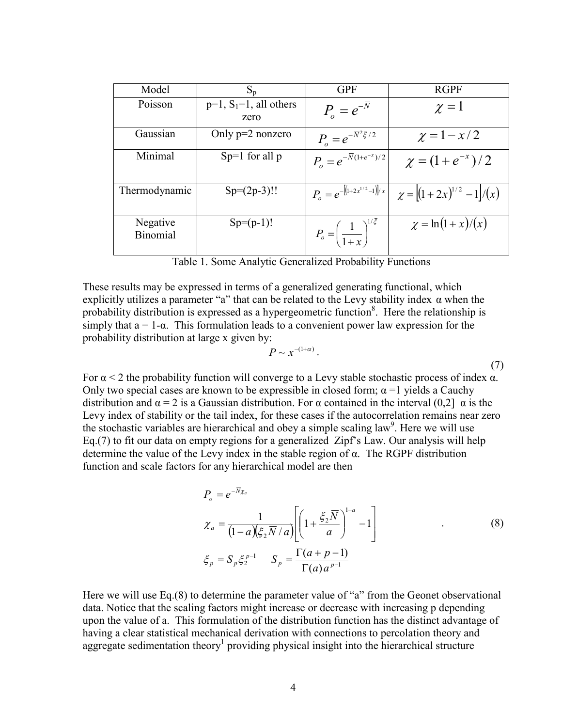| Model                       | $S_p$                                | <b>GPF</b>                                      | <b>RGPF</b>                      |
|-----------------------------|--------------------------------------|-------------------------------------------------|----------------------------------|
| Poisson                     | $p=1$ , $S_1=1$ , all others<br>zero | $P_{o} = e^{-N}$                                | $\chi=1$                         |
| Gaussian                    | Only $p=2$ nonzero                   | $P_{o} = e^{-\overline{N}^{2}\overline{\xi}/2}$ | $\chi = 1 - x/2$                 |
| Minimal                     | $Sp=1$ for all p                     | $P_{\rho} = e^{-\overline{N}(1+e^{-x})/2}$      | $\chi = (1 + e^{-x})/2$          |
| Thermodynamic               | $Sp=(2p-3)!!$                        | $P_o = e^{-[(1+2x^{1/2}-1)]/x}$                 | $\chi =  (1+2x)^{1/2} - 1 /(x) $ |
| Negative<br><b>Binomial</b> | $Sp=(p-1)!$                          | $P_o = \left(\frac{1}{1+x}\right)^{1/2}$        | $\chi = \ln(1+x)/(x)$            |

Table 1. Some Analytic Generalized Probability Functions

These results may be expressed in terms of a generalized generating functional, which explicitly utilizes a parameter "a" that can be related to the Levy stability index  $\alpha$  when the probability distribution is expressed as a hypergeometric function<sup>8</sup>. Here the relationship is simply that  $a = 1-\alpha$ . This formulation leads to a convenient power law expression for the probability distribution at large x given by:

$$
P \sim x^{-(1+\alpha)}\,. \tag{7}
$$

For  $\alpha$  < 2 the probability function will converge to a Levy stable stochastic process of index  $\alpha$ . Only two special cases are known to be expressible in closed form;  $\alpha$  =1 yields a Cauchy distribution and  $\alpha = 2$  is a Gaussian distribution. For  $\alpha$  contained in the interval (0,2]  $\alpha$  is the Levy index of stability or the tail index, for these cases if the autocorrelation remains near zero the stochastic variables are hierarchical and obey a simple scaling law<sup>9</sup>. Here we will use Eq.(7) to fit our data on empty regions for a generalized Zipf's Law. Our analysis will help determine the value of the Levy index in the stable region of  $\alpha$ . The RGPF distribution function and scale factors for any hierarchical model are then

$$
P_o = e^{-\overline{N}\chi_a}
$$
  
\n
$$
\chi_a = \frac{1}{(1-a)(\xi_2 \overline{N}/a)} \left[ \left( 1 + \frac{\xi_2 \overline{N}}{a} \right)^{1-a} - 1 \right]
$$
  
\n
$$
\xi_p = S_p \xi_2^{p-1} \qquad S_p = \frac{\Gamma(a+p-1)}{\Gamma(a)a^{p-1}}
$$
\n(8)

Here we will use Eq.(8) to determine the parameter value of "a" from the Geonet observational data. Notice that the scaling factors might increase or decrease with increasing p depending upon the value of a. This formulation of the distribution function has the distinct advantage of having a clear statistical mechanical derivation with connections to percolation theory and aggregate sedimentation theory<sup>1</sup> providing physical insight into the hierarchical structure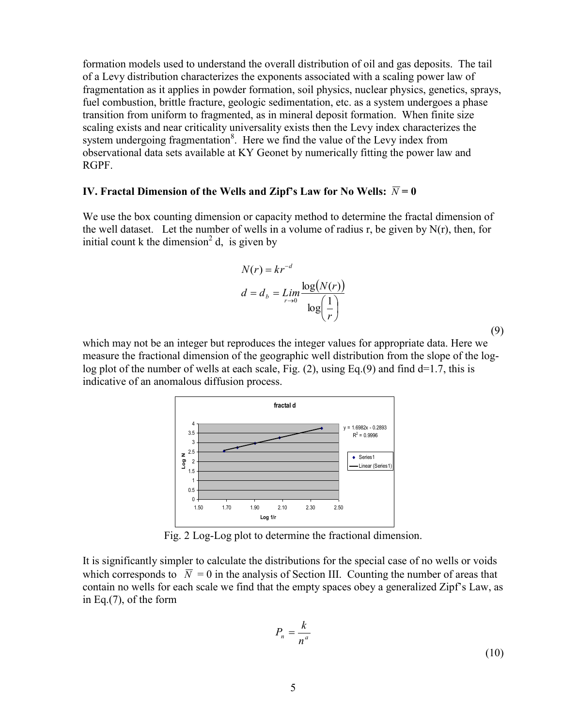formation models used to understand the overall distribution of oil and gas deposits. The tail of a Levy distribution characterizes the exponents associated with a scaling power law of fragmentation as it applies in powder formation, soil physics, nuclear physics, genetics, sprays, fuel combustion, brittle fracture, geologic sedimentation, etc. as a system undergoes a phase transition from uniform to fragmented, as in mineral deposit formation. When finite size scaling exists and near criticality universality exists then the Levy index characterizes the system undergoing fragmentation $8$ . Here we find the value of the Levy index from observational data sets available at KY Geonet by numerically fitting the power law and RGPF.

### **IV.** Fractal Dimension of the Wells and Zipf's Law for No Wells:  $\overline{N}$  = 0

We use the box counting dimension or capacity method to determine the fractal dimension of the well dataset. Let the number of wells in a volume of radius r, be given by  $N(r)$ , then, for initial count k the dimension<sup>2</sup> d, is given by

$$
N(r) = kr^{-d}
$$

$$
d = d_b = \lim_{r \to 0} \frac{\log(N(r))}{\log(\frac{1}{r})}
$$

(9)

which may not be an integer but reproduces the integer values for appropriate data. Here we measure the fractional dimension of the geographic well distribution from the slope of the loglog plot of the number of wells at each scale, Fig.  $(2)$ , using Eq. $(9)$  and find d=1.7, this is indicative of an anomalous diffusion process.



Fig. 2 Log-Log plot to determine the fractional dimension.

It is significantly simpler to calculate the distributions for the special case of no wells or voids which corresponds to  $\bar{N} = 0$  in the analysis of Section III. Counting the number of areas that contain no wells for each scale we find that the empty spaces obey a generalized Zipf's Law, as in Eq.(7), of the form

$$
P_n = \frac{k}{n^a} \tag{10}
$$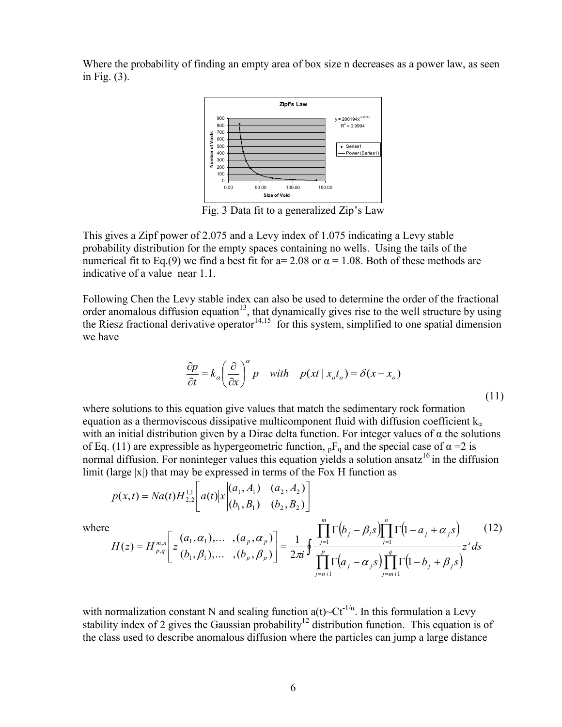Where the probability of finding an empty area of box size n decreases as a power law, as seen in Fig. (3).



Fig. 3 Data fit to a generalized Zip's Law

This gives a Zipf power of 2.075 and a Levy index of 1.075 indicating a Levy stable probability distribution for the empty spaces containing no wells. Using the tails of the numerical fit to Eq.(9) we find a best fit for  $a = 2.08$  or  $\alpha = 1.08$ . Both of these methods are indicative of a value near 1.1.

Following Chen the Levy stable index can also be used to determine the order of the fractional order anomalous diffusion equation<sup>13</sup>, that dynamically gives rise to the well structure by using the Riesz fractional derivative operator<sup>14,15</sup> for this system, simplified to one spatial dimension we have

$$
\frac{\partial p}{\partial t} = k_{\alpha} \left(\frac{\partial}{\partial x}\right)^{\alpha} p \quad \text{with} \quad p(xt \mid x_{o}t_{o}) = \delta(x - x_{o}) \tag{11}
$$

where solutions to this equation give values that match the sedimentary rock formation equation as a thermoviscous dissipative multicomponent fluid with diffusion coefficient  $k_{\alpha}$ with an initial distribution given by a Dirac delta function. For integer values of  $\alpha$  the solutions of Eq. (11) are expressible as hypergeometric function,  ${}_{p}F_{q}$  and the special case of  $\alpha = 2$  is normal diffusion. For noninteger values this equation yields a solution ansatz<sup>16</sup> in the diffusion limit (large  $|x|$ ) that may be expressed in terms of the Fox H function as

$$
p(x,t) = Na(t)H_{2,2}^{1,1}\left[a(t)|x\middle\|_{(b_1, B_1)}^{(a_1, A_1)} \quad (a_2, A_2)\right]
$$
\n
$$
\prod_{i=1}^{m} \Gamma\left(b_i - e_i\right) \prod_{i=1}^{n} \Gamma\left(b_i - e_i\right) \prod_{i=1}^{n} \Gamma\left(b_i - e_i\right) \quad (a_2, b_1, c_2)
$$

where

$$
H(z) = H_{p,q}^{m,n} \left[ z \Big|_{(b_1, \beta_1), \dots, (b_p, \beta_p)}^{(a_1, \alpha_1), \dots, (a_p, \alpha_p)} \right] = \frac{1}{2\pi i} \oint \frac{\prod_{j=1} \Gamma(b_j - \beta_i s) \prod_{j=1} \Gamma(1 - a_j + \alpha_j s)}{\prod_{j=n+1}^p \Gamma(a_j - \alpha_j s) \prod_{j=m+1}^q \Gamma(1 - b_j + \beta_j s)} z^s ds \tag{12}
$$

with normalization constant N and scaling function a(t)~ $Ct^{-1/\alpha}$ . In this formulation a Levy stability index of 2 gives the Gaussian probability<sup>12</sup> distribution function. This equation is of the class used to describe anomalous diffusion where the particles can jump a large distance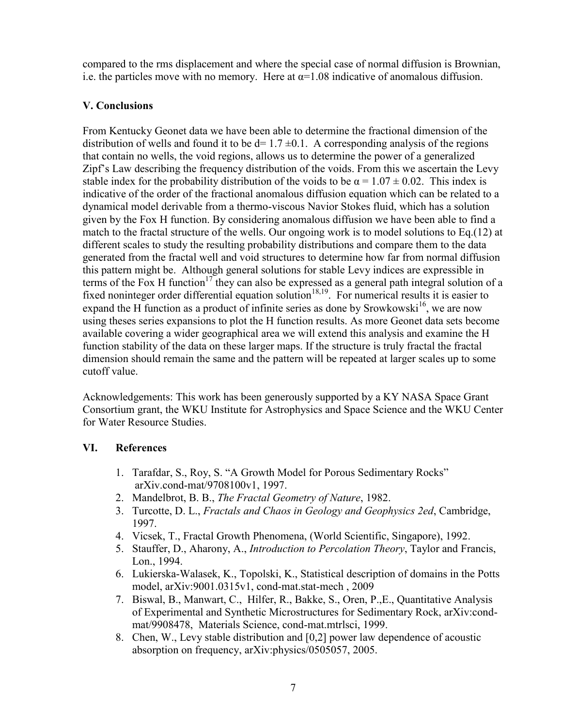compared to the rms displacement and where the special case of normal diffusion is Brownian, i.e. the particles move with no memory. Here at  $\alpha$ =1.08 indicative of anomalous diffusion.

# **V. Conclusions**

From Kentucky Geonet data we have been able to determine the fractional dimension of the distribution of wells and found it to be  $d= 1.7 \pm 0.1$ . A corresponding analysis of the regions that contain no wells, the void regions, allows us to determine the power of a generalized Zipf's Law describing the frequency distribution of the voids. From this we ascertain the Levy stable index for the probability distribution of the voids to be  $\alpha = 1.07 \pm 0.02$ . This index is indicative of the order of the fractional anomalous diffusion equation which can be related to a dynamical model derivable from a thermo-viscous Navior Stokes fluid, which has a solution given by the Fox H function. By considering anomalous diffusion we have been able to find a match to the fractal structure of the wells. Our ongoing work is to model solutions to Eq.(12) at different scales to study the resulting probability distributions and compare them to the data generated from the fractal well and void structures to determine how far from normal diffusion this pattern might be. Although general solutions for stable Levy indices are expressible in terms of the Fox H function<sup>17</sup> they can also be expressed as a general path integral solution of a fixed noninteger order differential equation solution<sup>18,19</sup>. For numerical results it is easier to expand the H function as a product of infinite series as done by Srowkowski<sup>16</sup>, we are now using theses series expansions to plot the H function results. As more Geonet data sets become available covering a wider geographical area we will extend this analysis and examine the H function stability of the data on these larger maps. If the structure is truly fractal the fractal dimension should remain the same and the pattern will be repeated at larger scales up to some cutoff value.

Acknowledgements: This work has been generously supported by a KY NASA Space Grant Consortium grant, the WKU Institute for Astrophysics and Space Science and the WKU Center for Water Resource Studies.

## **VI. References**

- 1. Tarafdar, S., Roy, S. "A Growth Model for Porous Sedimentary Rocks" arXiv.cond-mat/9708100v1, 1997.
- 2. Mandelbrot, B. B., *The Fractal Geometry of Nature*, 1982.
- 3. Turcotte, D. L., *Fractals and Chaos in Geology and Geophysics 2ed*, Cambridge, 1997.
- 4. Vicsek, T., Fractal Growth Phenomena, (World Scientific, Singapore), 1992.
- 5. Stauffer, D., Aharony, A., *Introduction to Percolation Theory*, Taylor and Francis, Lon., 1994.
- 6. Lukierska-Walasek, K., Topolski, K., Statistical description of domains in the Potts model, arXiv:9001.0315v1, cond-mat.stat-mech , 2009
- 7. Biswal, B., Manwart, C., Hilfer, R., Bakke, S., Oren, P.,E., Quantitative Analysis of Experimental and Synthetic Microstructures for Sedimentary Rock, arXiv:condmat/9908478, Materials Science, cond-mat.mtrlsci, 1999.
- 8. Chen, W., Levy stable distribution and [0,2] power law dependence of acoustic absorption on frequency, arXiv:physics/0505057, 2005.